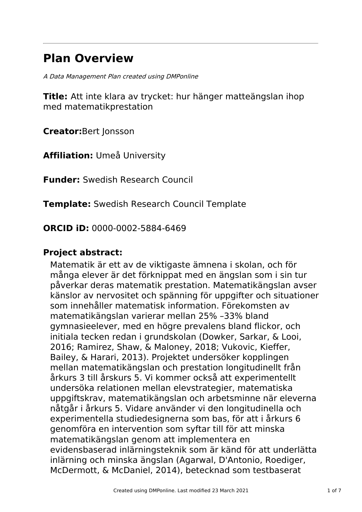# **Plan Overview**

A Data Management Plan created using DMPonline

**Title:** Att inte klara av trycket: hur hänger matteängslan ihop med matematikprestation

**Creator:**Bert Jonsson

**Affiliation:** Umeå University

**Funder:** Swedish Research Council

**Template:** Swedish Research Council Template

**ORCID iD:** 0000-0002-5884-6469

### **Project abstract:**

Matematik är ett av de viktigaste ämnena i skolan, och för många elever är det förknippat med en ängslan som i sin tur påverkar deras matematik prestation. Matematikängslan avser känslor av nervositet och spänning för uppgifter och situationer som innehåller matematisk information. Förekomsten av matematikängslan varierar mellan 25% –33% bland gymnasieelever, med en högre prevalens bland flickor, och initiala tecken redan i grundskolan (Dowker, Sarkar, & Looi, 2016; Ramirez, Shaw, & Maloney, 2018; Vukovic, Kieffer, Bailey, & Harari, 2013). Projektet undersöker kopplingen mellan matematikängslan och prestation longitudinellt från årkurs 3 till årskurs 5. Vi kommer också att experimentellt undersöka relationen mellan elevstrategier, matematiska uppgiftskrav, matematikängslan och arbetsminne när eleverna nåtgår i årkurs 5. Vidare använder vi den longitudinella och experimentella studiedesignerna som bas, för att i årkurs 6 genomföra en intervention som syftar till för att minska matematikängslan genom att implementera en evidensbaserad inlärningsteknik som är känd för att underlätta inlärning och minska ängslan (Agarwal, D'Antonio, Roediger, McDermott, & McDaniel, 2014), betecknad som testbaserat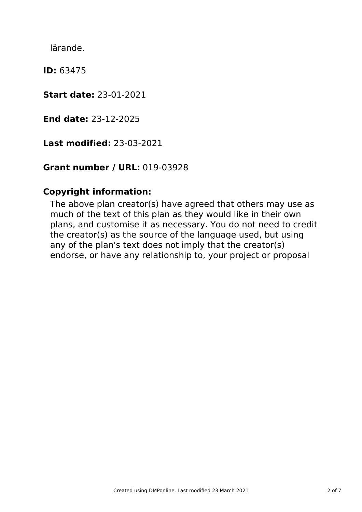lärande.

**ID:** 63475

**Start date:** 23-01-2021

**End date:** 23-12-2025

**Last modified:** 23-03-2021

## **Grant number / URL:** 019-03928

### **Copyright information:**

The above plan creator(s) have agreed that others may use as much of the text of this plan as they would like in their own plans, and customise it as necessary. You do not need to credit the creator(s) as the source of the language used, but using any of the plan's text does not imply that the creator(s) endorse, or have any relationship to, your project or proposal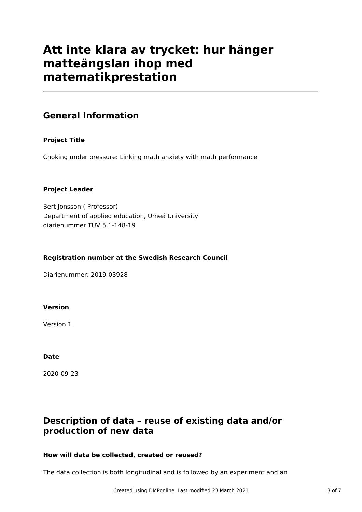## **Att inte klara av trycket: hur hänger matteängslan ihop med matematikprestation**

### **General Information**

### **Project Title**

Choking under pressure: Linking math anxiety with math performance

### **Project Leader**

Bert Jonsson ( Professor) Department of applied education, Umeå University diarienummer TUV 5.1-148-19

### **Registration number at the Swedish Research Council**

Diarienummer: 2019-03928

#### **Version**

Version 1

#### **Date**

2020-09-23

### **Description of data – reuse of existing data and/or production of new data**

### **How will data be collected, created or reused?**

The data collection is both longitudinal and is followed by an experiment and an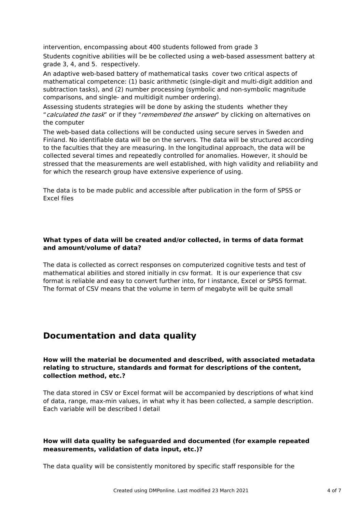intervention, encompassing about 400 students followed from grade 3

Students cognitive abilities will be be collected using a web-based assessment battery at grade 3, 4, and 5. respectively.

An adaptive web-based battery of mathematical tasks cover two critical aspects of mathematical competence: (1) basic arithmetic (single-digit and multi-digit addition and subtraction tasks), and (2) number processing (symbolic and non-symbolic magnitude comparisons, and single- and multidigit number ordering).

Assessing students strategies will be done by asking the students whether they "calculated the task" or if they "remembered the answer" by clicking on alternatives on the computer

The web-based data collections will be conducted using secure serves in Sweden and Finland. No identifiable data will be on the servers. The data will be structured according to the faculties that they are measuring. In the longitudinal approach, the data will be collected several times and repeatedly controlled for anomalies. However, it should be stressed that the measurements are well established, with high validity and reliability and for which the research group have extensive experience of using.

The data is to be made public and accessible after publication in the form of SPSS or Excel files

### **What types of data will be created and/or collected, in terms of data format and amount/volume of data?**

The data is collected as correct responses on computerized cognitive tests and test of mathematical abilities and stored initially in csv format. It is our experience that csv format is reliable and easy to convert further into, for I instance, Excel or SPSS format. The format of CSV means that the volume in term of megabyte will be quite small

### **Documentation and data quality**

**How will the material be documented and described, with associated metadata relating to structure, standards and format for descriptions of the content, collection method, etc.?**

The data stored in CSV or Excel format will be accompanied by descriptions of what kind of data, range, max-min values, in what why it has been collected, a sample description. Each variable will be described I detail

### **How will data quality be safeguarded and documented (for example repeated measurements, validation of data input, etc.)?**

The data quality will be consistently monitored by specific staff responsible for the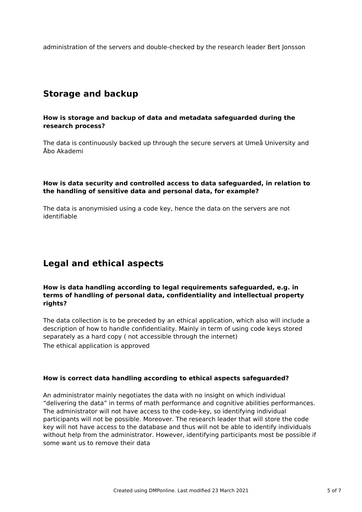administration of the servers and double-checked by the research leader Bert Jonsson

### **Storage and backup**

#### **How is storage and backup of data and metadata safeguarded during the research process?**

The data is continuously backed up through the secure servers at Umeå University and Åbo Akademi

#### **How is data security and controlled access to data safeguarded, in relation to the handling of sensitive data and personal data, for example?**

The data is anonymisied using a code key, hence the data on the servers are not identifiable

### **Legal and ethical aspects**

#### **How is data handling according to legal requirements safeguarded, e.g. in terms of handling of personal data, confidentiality and intellectual property rights?**

The data collection is to be preceded by an ethical application, which also will include a description of how to handle confidentiality. Mainly in term of using code keys stored separately as a hard copy ( not accessible through the internet) The ethical application is approved

### **How is correct data handling according to ethical aspects safeguarded?**

An administrator mainly negotiates the data with no insight on which individual "delivering the data" in terms of math performance and cognitive abilities performances. The administrator will not have access to the code-key, so identifying individual participants will not be possible. Moreover. The research leader that will store the code key will not have access to the database and thus will not be able to identify individuals without help from the administrator. However, identifying participants most be possible if some want us to remove their data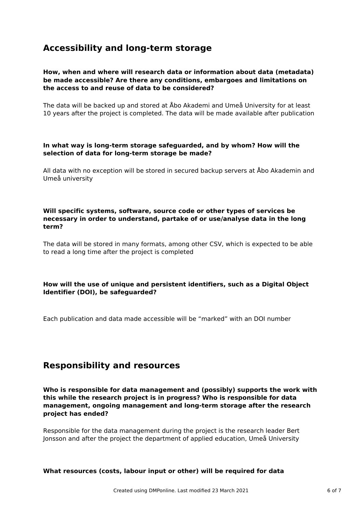### **Accessibility and long-term storage**

#### **How, when and where will research data or information about data (metadata) be made accessible? Are there any conditions, embargoes and limitations on the access to and reuse of data to be considered?**

The data will be backed up and stored at Åbo Akademi and Umeå University for at least 10 years after the project is completed. The data will be made available after publication

#### **In what way is long-term storage safeguarded, and by whom? How will the selection of data for long-term storage be made?**

All data with no exception will be stored in secured backup servers at Åbo Akademin and Umeå university

#### **Will specific systems, software, source code or other types of services be necessary in order to understand, partake of or use/analyse data in the long term?**

The data will be stored in many formats, among other CSV, which is expected to be able to read a long time after the project is completed

### **How will the use of unique and persistent identifiers, such as a Digital Object Identifier (DOI), be safeguarded?**

Each publication and data made accessible will be "marked" with an DOI number

### **Responsibility and resources**

**Who is responsible for data management and (possibly) supports the work with this while the research project is in progress? Who is responsible for data management, ongoing management and long-term storage after the research project has ended?**

Responsible for the data management during the project is the research leader Bert Jonsson and after the project the department of applied education, Umeå University

#### **What resources (costs, labour input or other) will be required for data**